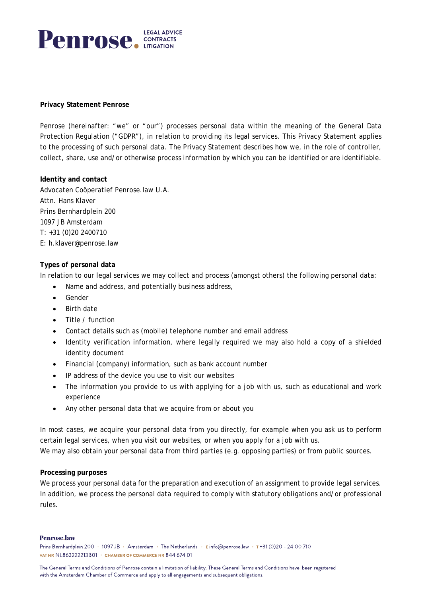

## **Privacy Statement Penrose**

Penrose (hereinafter: "we" or "our") processes personal data within the meaning of the General Data Protection Regulation ("GDPR"), in relation to providing its legal services. This Privacy Statement applies to the processing of such personal data. The Privacy Statement describes how we, in the role of controller, collect, share, use and/or otherwise process information by which you can be identified or are identifiable.

**Identity and contact**  Advocaten Coöperatief Penrose.law U.A. Attn. Hans Klaver Prins Bernhardplein 200 1097 JB Amsterdam T: +31 (0)20 2400710 E: h.klaver@penrose.law

# **Types of personal data**

In relation to our legal services we may collect and process (amongst others) the following personal data:

- Name and address, and potentially business address,
- **Gender**
- Birth date
- Title / function
- Contact details such as (mobile) telephone number and email address
- Identity verification information, where legally required we may also hold a copy of a shielded identity document
- Financial (company) information, such as bank account number
- IP address of the device you use to visit our websites
- The information you provide to us with applying for a job with us, such as educational and work experience
- Any other personal data that we acquire from or about you

In most cases, we acquire your personal data from you directly, for example when you ask us to perform certain legal services, when you visit our websites, or when you apply for a job with us. We may also obtain your personal data from third parties (e.g. opposing parties) or from public sources.

#### **Processing purposes**

We process your personal data for the preparation and execution of an assignment to provide legal services. In addition, we process the personal data required to comply with statutory obligations and/or professional rules.

#### **Penrose.law**

Prins Bernhardplein 200 · 1097 JB · Amsterdam · The Netherlands · Einfo@penrose.law · T +31 (0)20 - 24 00 710 VAT NR NL863222213B01 • CHAMBER OF COMMERCE NR 844 674 01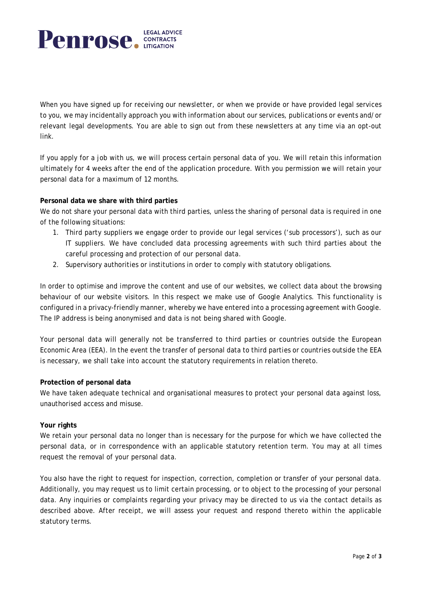

When you have signed up for receiving our newsletter, or when we provide or have provided legal services to you, we may incidentally approach you with information about our services, publications or events and/or relevant legal developments. You are able to sign out from these newsletters at any time via an opt-out link.

If you apply for a job with us, we will process certain personal data of you. We will retain this information ultimately for 4 weeks after the end of the application procedure. With you permission we will retain your personal data for a maximum of 12 months.

# **Personal data we share with third parties**

We do not share your personal data with third parties, unless the sharing of personal data is required in one of the following situations:

- 1. Third party suppliers we engage order to provide our legal services ('sub processors'), such as our IT suppliers. We have concluded data processing agreements with such third parties about the careful processing and protection of our personal data.
- 2. Supervisory authorities or institutions in order to comply with statutory obligations.

In order to optimise and improve the content and use of our websites, we collect data about the browsing behaviour of our website visitors. In this respect we make use of Google Analytics. This functionality is configured in a privacy-friendly manner, whereby we have entered into a processing agreement with Google. The IP address is being anonymised and data is not being shared with Google.

Your personal data will generally not be transferred to third parties or countries outside the European Economic Area (EEA). In the event the transfer of personal data to third parties or countries outside the EEA is necessary, we shall take into account the statutory requirements in relation thereto.

# **Protection of personal data**

We have taken adequate technical and organisational measures to protect your personal data against loss, unauthorised access and misuse.

#### **Your rights**

We retain your personal data no longer than is necessary for the purpose for which we have collected the personal data, or in correspondence with an applicable statutory retention term. You may at all times request the removal of your personal data.

You also have the right to request for inspection, correction, completion or transfer of your personal data. Additionally, you may request us to limit certain processing, or to object to the processing of your personal data. Any inquiries or complaints regarding your privacy may be directed to us via the contact details as described above. After receipt, we will assess your request and respond thereto within the applicable statutory terms.